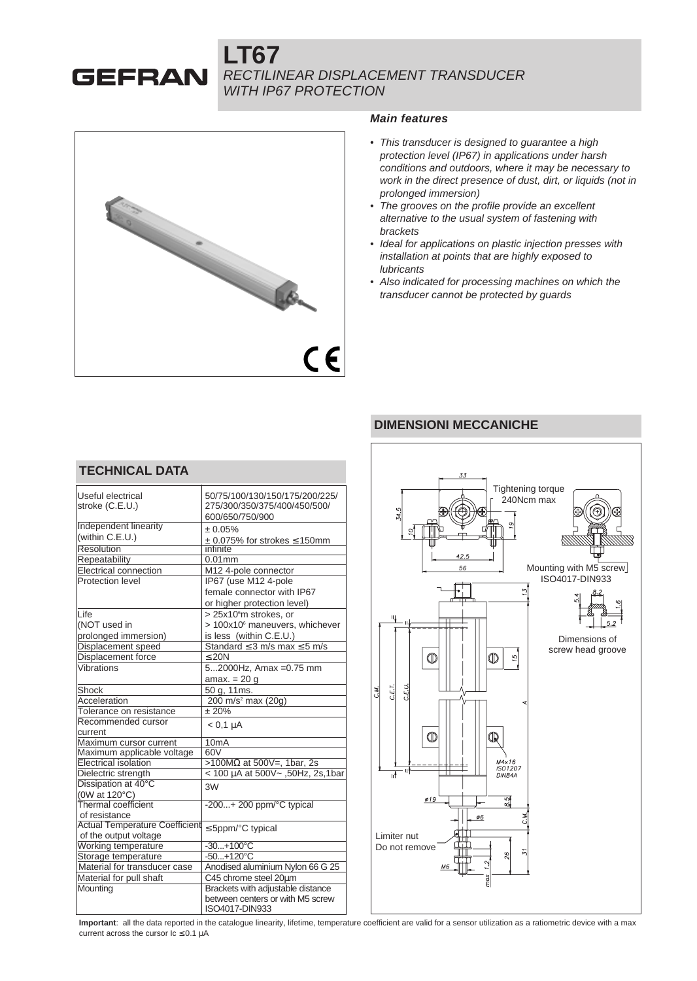## **LT67 GEFRAN** RECTILINEAR DISPLACEMENT TRANSDUCER WITH IP67 PROTECTION



#### **Main features**

- This transducer is designed to guarantee a high protection level (IP67) in applications under harsh conditions and outdoors, where it may be necessary to work in the direct presence of dust, dirt, or liquids (not in prolonged immersion)
- The grooves on the profile provide an excellent alternative to the usual system of fastening with brackets
- Ideal for applications on plastic injection presses with installation at points that are highly exposed to **lubricants**
- Also indicated for processing machines on which the transducer cannot be protected by guards

# **DIMENSIONI MECCANICHE**



# **TECHNICAL DATA**

| Useful electrical<br>stroke (C.E.U.)  | 50/75/100/130/150/175/200/225/<br>275/300/350/375/400/450/500/ |
|---------------------------------------|----------------------------------------------------------------|
|                                       | 600/650/750/900                                                |
| <b>Independent linearity</b>          | $\pm 0.05\%$                                                   |
| (within C.E.U.)                       | $\pm$ 0.075% for strokes $\leq$ 150mm                          |
| Resolution                            | infinite                                                       |
| Repeatability                         | $0.01$ mm                                                      |
| Electrical connection                 | M12 4-pole connector                                           |
| Protection level                      | IP67 (use M12 4-pole                                           |
|                                       | female connector with IP67                                     |
|                                       | or higher protection level)                                    |
| Life                                  | > 25x10°m strokes, or                                          |
| (NOT used in                          | > 100x10 <sup>6</sup> maneuvers, whichever                     |
| prolonged immersion)                  | is less (within C.E.U.)                                        |
| Displacement speed                    | Standard $\leq$ 3 m/s max $\leq$ 5 m/s                         |
| Displacement force                    | $\leq 20N$                                                     |
| Vibrations                            | 52000Hz, Amax = 0.75 mm                                        |
|                                       | amax. $= 20$ q                                                 |
| Shock                                 | 50 g, 11ms.                                                    |
| Acceleration                          | 200 m/s <sup>2</sup> max (20g)                                 |
| Tolerance on resistance               | ± 20%                                                          |
| Recommended cursor                    | $< 0.1$ $\mu$ A                                                |
| current                               |                                                                |
| Maximum cursor current                | 10mA                                                           |
| Maximum applicable voltage            | 60V                                                            |
| <b>Electrical isolation</b>           | >100MΩ at 500V=, 1bar, 2s                                      |
| Dielectric strength                   | < 100 µA at 500V~, 50Hz, 2s, 1bar                              |
| Dissipation at 40°C                   | 3W                                                             |
| (0W at 120°C)                         |                                                                |
| Thermal coefficient                   | $-200+200$ ppm/ $\degree$ C typical                            |
| of resistance                         |                                                                |
| <b>Actual Temperature Coefficient</b> | $\leq$ 5ppm/°C typical                                         |
| of the output voltage                 |                                                                |
| Working temperature                   | $-30+100^{\circ}C$                                             |
| Storage temperature                   | $-50+120^{\circ}C$                                             |
| Material for transducer case          | Anodised aluminium Nylon 66 G 25                               |
| Material for pull shaft               | C45 chrome steel 20um                                          |
| Mounting                              | Brackets with adjustable distance                              |
|                                       | between centers or with M5 screw                               |
|                                       | ISO4017-DIN933                                                 |

**Important**: all the data reported in the catalogue linearity, lifetime, temperature coefficient are valid for a sensor utilization as a ratiometric device with a max current across the cursor  $lc \leq 0.1$  uA